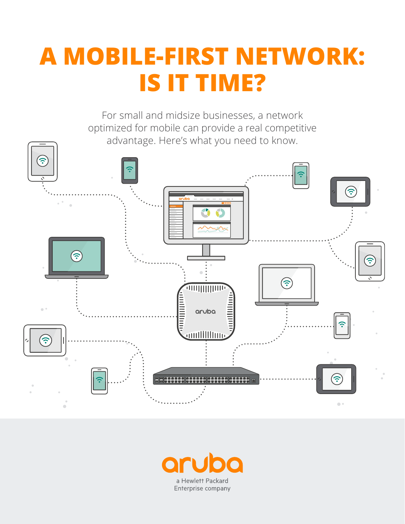# **A MOBILE-FIRST NETWORK: IS IT TIME?**

For small and midsize businesses, a network optimized for mobile can provide a real competitive advantage. Here's what you need to know.



 $\bullet$ a Hewlett Packard Enterprise company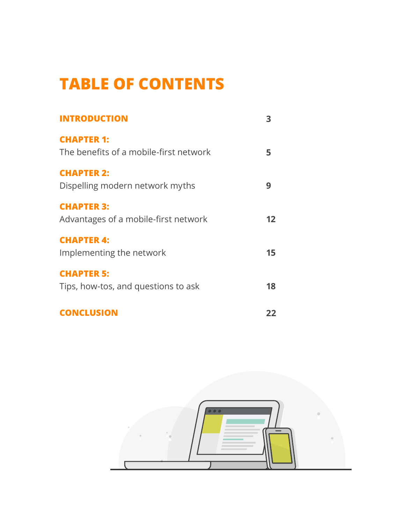## **TABLE OF CONTENTS**

| <b>INTRODUCTION</b>                                         | 3               |
|-------------------------------------------------------------|-----------------|
| <b>CHAPTER 1:</b><br>The benefits of a mobile-first network | 5               |
| <b>CHAPTER 2:</b><br>Dispelling modern network myths        | 9               |
| <b>CHAPTER 3:</b><br>Advantages of a mobile-first network   | 12 <sup>1</sup> |
| <b>CHAPTER 4:</b><br>Implementing the network               | 15              |
| <b>CHAPTER 5:</b><br>Tips, how-tos, and questions to ask    | 18              |
| <b>CONCLUSION</b>                                           | 22              |

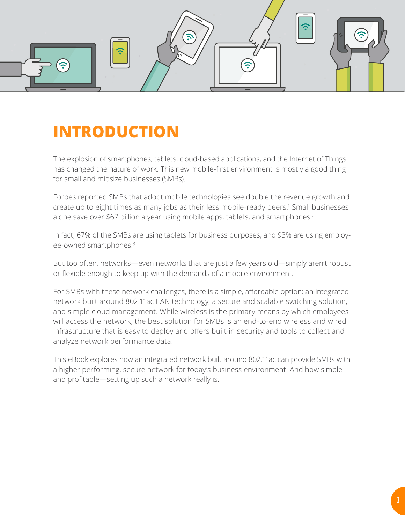<span id="page-2-0"></span>

### **INTRODUCTION**

The explosion of smartphones, tablets, cloud-based applications, and the Internet of Things has changed the nature of work. This new mobile-first environment is mostly a good thing for small and midsize businesses (SMBs).

Forbes reported SMBs that adopt mobile technologies see double the revenue growth and create up to eight times as many jobs as their less mobile-ready peers.<sup>1</sup> Small businesses alone save over \$67 billion a year using mobile apps, tablets, and smartphones.<sup>2</sup>

In fact, 67% of the SMBs are using tablets for business purposes, and 93% are using employee-owned smartphones.3

But too often, networks—even networks that are just a few years old—simply aren't robust or flexible enough to keep up with the demands of a mobile environment.

For SMBs with these network challenges, there is a simple, affordable option: an integrated network built around 802.11ac LAN technology, a secure and scalable switching solution, and simple cloud management. While wireless is the primary means by which employees will access the network, the best solution for SMBs is an end-to-end wireless and wired infrastructure that is easy to deploy and offers built-in security and tools to collect and analyze network performance data.

This eBook explores how an integrated network built around 802.11ac can provide SMBs with a higher-performing, secure network for today's business environment. And how simple and profitable—setting up such a network really is.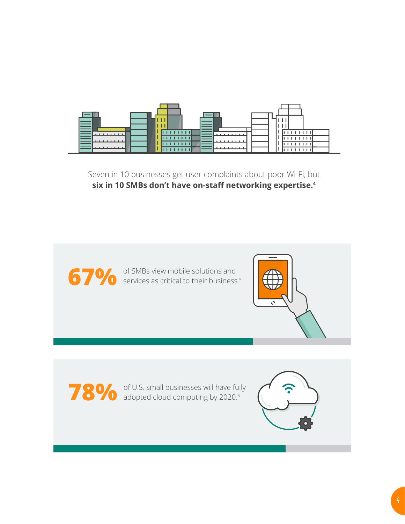

Seven in 10 businesses get user complaints about poor Wi-Fi, but **six in 10 SMBs don't have on-staff networking expertise.4**



**67%** of SMBs view mobile solutions and services as critical to their business services as critical to their business.<sup>5</sup>



**78%** of U.S. small businesses will have fully adopted cloud computing by 2020.<sup>5</sup> adopted cloud computing by 2020.5

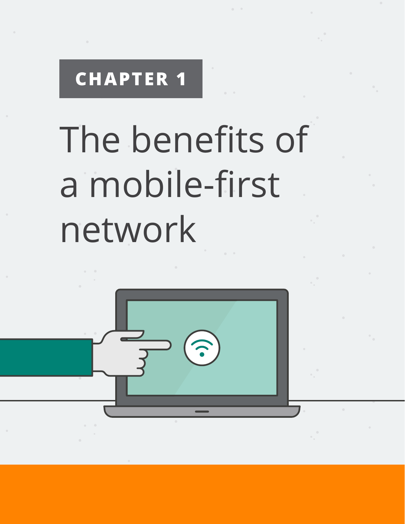# <span id="page-4-0"></span>The benefits of a mobile-first network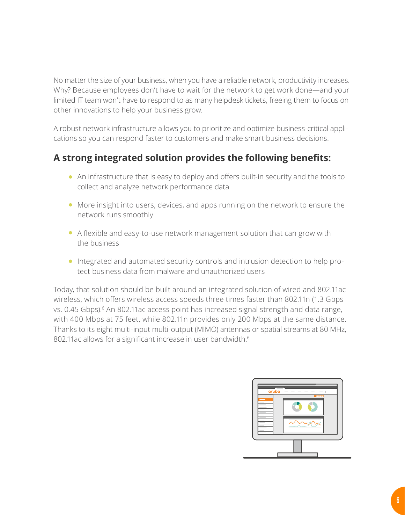No matter the size of your business, when you have a reliable network, productivity increases. Why? Because employees don't have to wait for the network to get work done—and your limited IT team won't have to respond to as many helpdesk tickets, freeing them to focus on other innovations to help your business grow.

A robust network infrastructure allows you to prioritize and optimize business-critical applications so you can respond faster to customers and make smart business decisions.

#### **A strong integrated solution provides the following benefits:**

- An infrastructure that is easy to deploy and offers built-in security and the tools to collect and analyze network performance data
- More insight into users, devices, and apps running on the network to ensure the network runs smoothly
- A flexible and easy-to-use network management solution that can grow with the business
- Integrated and automated security controls and intrusion detection to help protect business data from malware and unauthorized users

Today, that solution should be built around an integrated solution of wired and 802.11ac wireless, which offers wireless access speeds three times faster than 802.11n (1.3 Gbps vs. 0.45 Gbps).<sup>6</sup> An 802.11ac access point has increased signal strength and data range, with 400 Mbps at 75 feet, while 802.11n provides only 200 Mbps at the same distance. Thanks to its eight multi-input multi-output (MIMO) antennas or spatial streams at 80 MHz, 802.11ac allows for a significant increase in user bandwidth.<sup>6</sup>

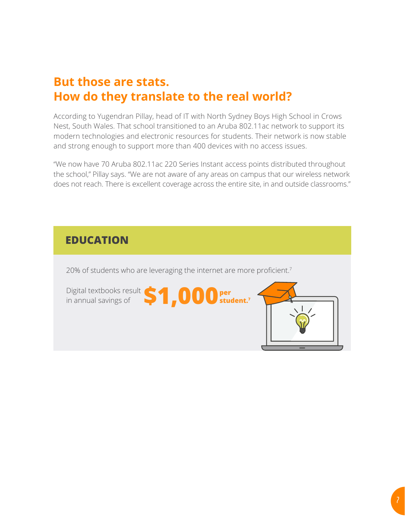### **But those are stats. How do they translate to the real world?**

According to Yugendran Pillay, head of IT with North Sydney Boys High School in Crows Nest, South Wales. That school transitioned to an Aruba 802.11ac network to support its modern technologies and electronic resources for students. Their network is now stable and strong enough to support more than 400 devices with no access issues.

"We now have 70 Aruba 802.11ac 220 Series Instant access points distributed throughout the school," Pillay says. "We are not aware of any areas on campus that our wireless network does not reach. There is excellent coverage across the entire site, in and outside classrooms."

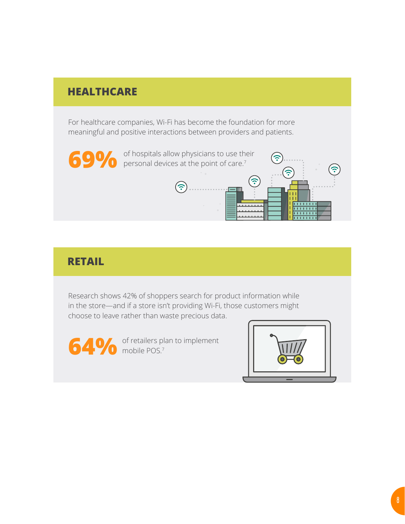#### **HEALTHCARE**

For healthcare companies, Wi-Fi has become the foundation for more meaningful and positive interactions between providers and patients.



#### **RETAIL**

Research shows 42% of shoppers search for product information while in the store—and if a store isn't providing Wi-Fi, those customers might choose to leave rather than waste precious data.

**64%** of retailers pl

of retailers plan to implement

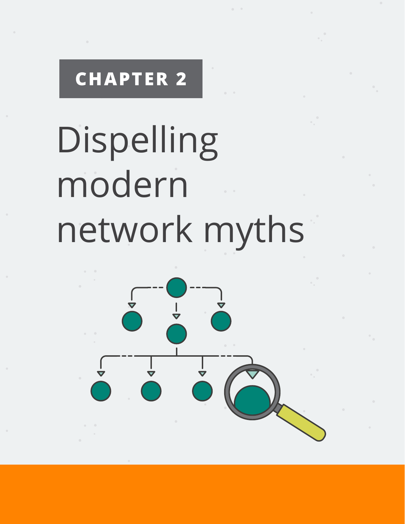# <span id="page-8-0"></span>Dispelling modern network myths

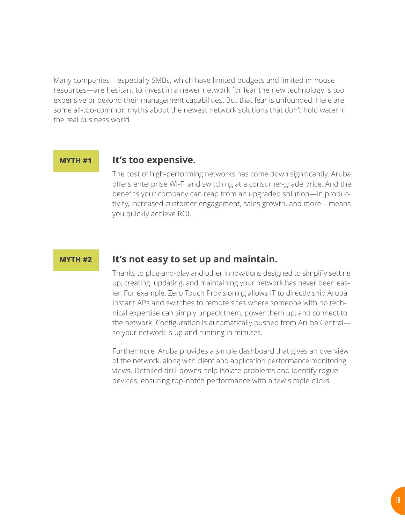Many companies—especially SMBs, which have limited budgets and limited in-house resources—are hesitant to invest in a newer network for fear the new technology is too expensive or beyond their management capabilities. But that fear is unfounded. Here are some all-too-common myths about the newest network solutions that don't hold water in the real business world.

#### **MYTH #1**

#### **It's too expensive.**

The cost of high-performing networks has come down significantly. Aruba offers enterprise Wi-Fi and switching at a consumer-grade price. And the benefits your company can reap from an upgraded solution—in productivity, increased customer engagement, sales growth, and more—means you quickly achieve ROI.

#### **MYTH #2**

#### **It's not easy to set up and maintain.**

Thanks to plug-and-play and other innovations designed to simplify setting up, creating, updating, and maintaining your network has never been easier. For example, Zero Touch Provisioning allows IT to directly ship Aruba Instant APs and switches to remote sites where someone with no technical expertise can simply unpack them, power them up, and connect to the network. Configuration is automatically pushed from Aruba Central so your network is up and running in minutes.

Furthermore, Aruba provides a simple dashboard that gives an overview of the network, along with client and application performance monitoring views. Detailed drill-downs help isolate problems and identify rogue devices, ensuring top-notch performance with a few simple clicks.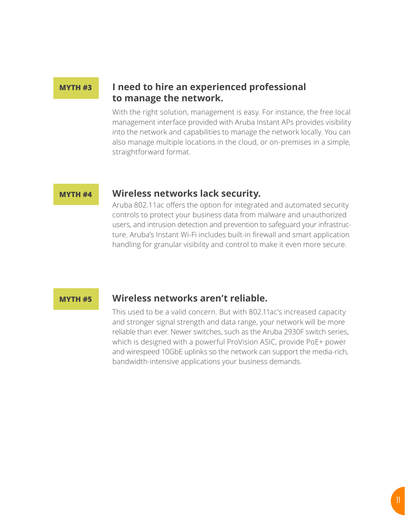#### **MYTH #3**

#### **I need to hire an experienced professional to manage the network.**

With the right solution, management is easy. For instance, the free local management interface provided with Aruba Instant APs provides visibility into the network and capabilities to manage the network locally. You can also manage multiple locations in the cloud, or on-premises in a simple, straightforward format.

#### **MYTH #4**

#### **Wireless networks lack security.**

Aruba 802.11ac offers the option for integrated and automated security controls to protect your business data from malware and unauthorized users, and intrusion detection and prevention to safeguard your infrastructure. Aruba's Instant Wi-Fi includes built-in firewall and smart application handling for granular visibility and control to make it even more secure.

#### **MYTH #5**

#### **Wireless networks aren't reliable.**

This used to be a valid concern. But with 802.11ac's increased capacity and stronger signal strength and data range, your network will be more reliable than ever. Newer switches, such as the Aruba 2930F switch series, which is designed with a powerful ProVision ASIC, provide PoE+ power and wirespeed 10GbE uplinks so the network can support the media-rich, bandwidth-intensive applications your business demands.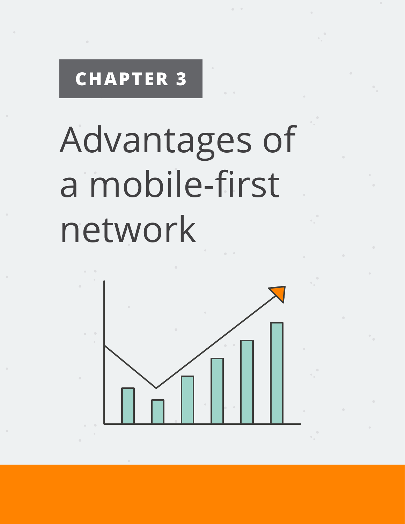# <span id="page-11-0"></span>Advantages of a mobile-first network

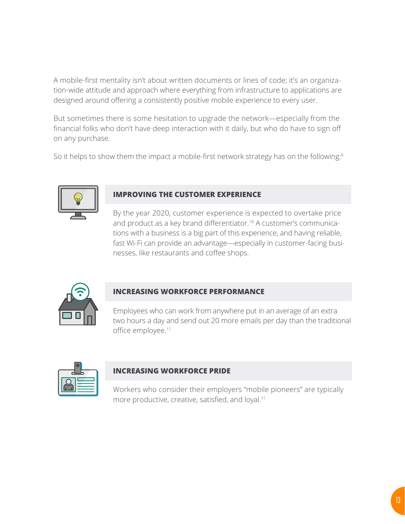A mobile-first mentality isn't about written documents or lines of code; it's an organization-wide attitude and approach where everything from infrastructure to applications are designed around offering a consistently positive mobile experience to every user.

But sometimes there is some hesitation to upgrade the network—especially from the financial folks who don't have deep interaction with it daily, but who do have to sign off on any purchase.

So it helps to show them the impact a mobile-first network strategy has on the following: $9$ 



#### **IMPROVING THE CUSTOMER EXPERIENCE**

By the year 2020, customer experience is expected to overtake price and product as a key brand differentiator.<sup>10</sup> A customer's communications with a business is a big part of this experience, and having reliable, fast Wi-Fi can provide an advantage—especially in customer-facing businesses, like restaurants and coffee shops.



#### **INCREASING WORKFORCE PERFORMANCE**

Employees who can work from anywhere put in an average of an extra two hours a day and send out 20 more emails per day than the traditional office employee.<sup>11</sup>

#### **INCREASING WORKFORCE PRIDE**

Workers who consider their employers "mobile pioneers" are typically more productive, creative, satisfied, and loyal.<sup>11</sup>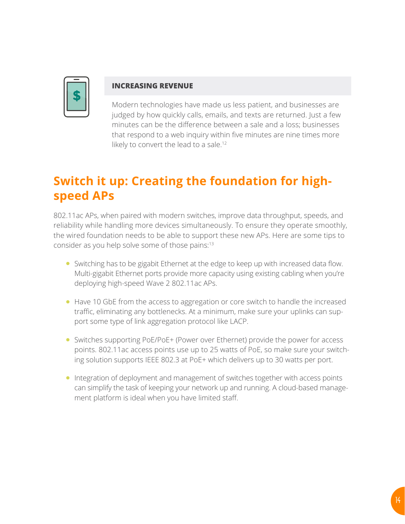

#### **INCREASING REVENUE**

Modern technologies have made us less patient, and businesses are judged by how quickly calls, emails, and texts are returned. Just a few minutes can be the difference between a sale and a loss; businesses that respond to a web inquiry within five minutes are nine times more likely to convert the lead to a sale.<sup>12</sup>

### **Switch it up: Creating the foundation for highspeed APs**

802.11ac APs, when paired with modern switches, improve data throughput, speeds, and reliability while handling more devices simultaneously. To ensure they operate smoothly, the wired foundation needs to be able to support these new APs. Here are some tips to consider as you help solve some of those pains:<sup>13</sup>

- Switching has to be gigabit Ethernet at the edge to keep up with increased data flow. Multi-gigabit Ethernet ports provide more capacity using existing cabling when you're deploying high-speed Wave 2 802.11ac APs.
- Have 10 GbE from the access to aggregation or core switch to handle the increased traffic, eliminating any bottlenecks. At a minimum, make sure your uplinks can support some type of link aggregation protocol like LACP.
- Switches supporting PoE/PoE+ (Power over Ethernet) provide the power for access points. 802.11ac access points use up to 25 watts of PoE, so make sure your switching solution supports IEEE 802.3 at PoE+ which delivers up to 30 watts per port.
- Integration of deployment and management of switches together with access points can simplify the task of keeping your network up and running. A cloud-based management platform is ideal when you have limited staff.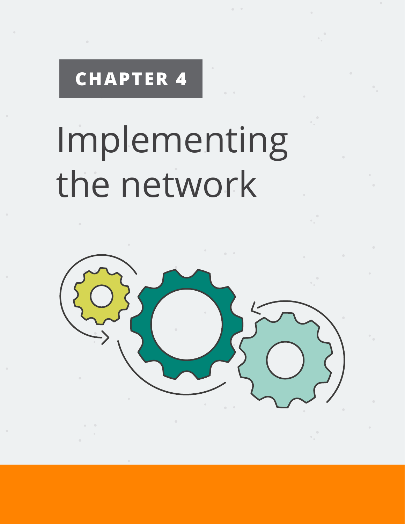# <span id="page-14-0"></span>Implementing the network

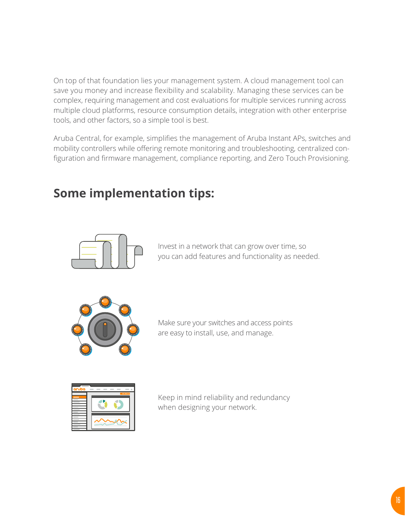On top of that foundation lies your management system. A cloud management tool can save you money and increase flexibility and scalability. Managing these services can be complex, requiring management and cost evaluations for multiple services running across multiple cloud platforms, resource consumption details, integration with other enterprise tools, and other factors, so a simple tool is best.

Aruba Central, for example, simplifies the management of Aruba Instant APs, switches and mobility controllers while offering remote monitoring and troubleshooting, centralized configuration and firmware management, compliance reporting, and Zero Touch Provisioning.

### **Some implementation tips:**



Invest in a network that can grow over time, so you can add features and functionality as needed.



Make sure your switches and access points are easy to install, use, and manage.



Keep in mind reliability and redundancy when designing your network.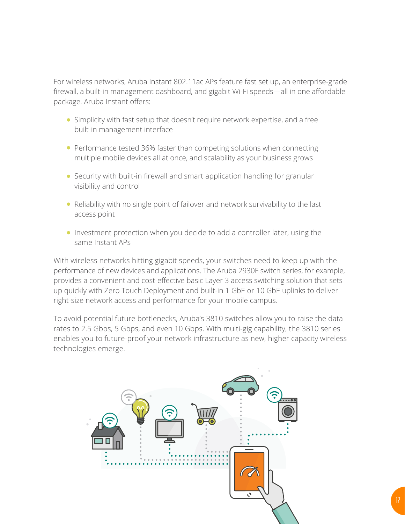For wireless networks, Aruba Instant 802.11ac APs feature fast set up, an enterprise-grade firewall, a built-in management dashboard, and gigabit Wi-Fi speeds—all in one affordable package. Aruba Instant offers:

- Simplicity with fast setup that doesn't require network expertise, and a free built-in management interface
- Performance tested 36% faster than competing solutions when connecting multiple mobile devices all at once, and scalability as your business grows
- Security with built-in firewall and smart application handling for granular visibility and control
- Reliability with no single point of failover and network survivability to the last access point
- Investment protection when you decide to add a controller later, using the same Instant APs

With wireless networks hitting gigabit speeds, your switches need to keep up with the performance of new devices and applications. The Aruba 2930F switch series, for example, provides a convenient and cost-effective basic Layer 3 access switching solution that sets up quickly with Zero Touch Deployment and built-in 1 GbE or 10 GbE uplinks to deliver right-size network access and performance for your mobile campus.

To avoid potential future bottlenecks, Aruba's 3810 switches allow you to raise the data rates to 2.5 Gbps, 5 Gbps, and even 10 Gbps. With multi-gig capability, the 3810 series enables you to future-proof your network infrastructure as new, higher capacity wireless technologies emerge.

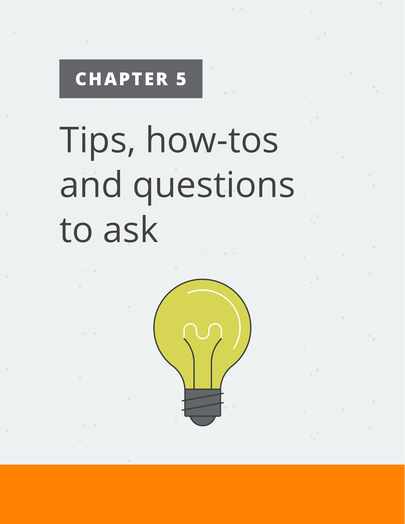# <span id="page-17-0"></span>Tips, how-tos and questions to ask

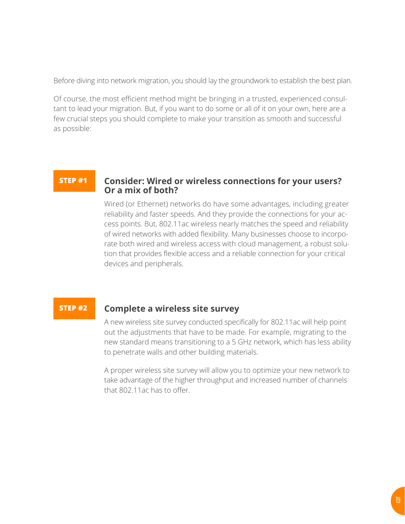Before diving into network migration, you should lay the groundwork to establish the best plan.

Of course, the most efficient method might be bringing in a trusted, experienced consultant to lead your migration. But, if you want to do some or all of it on your own, here are a few crucial steps you should complete to make your transition as smooth and successful as possible:

#### **STEP #1 Consider: Wired or wireless connections for your users? Or a mix of both?**

Wired (or Ethernet) networks do have some advantages, including greater reliability and faster speeds. And they provide the connections for your access points. But, 802.11ac wireless nearly matches the speed and reliability of wired networks with added flexibility. Many businesses choose to incorporate both wired and wireless access with cloud management, a robust solution that provides flexible access and a reliable connection for your critical devices and peripherals.

#### **STEP #2 Complete a wireless site survey**

A new wireless site survey conducted specifically for 802.11ac will help point out the adjustments that have to be made. For example, migrating to the new standard means transitioning to a 5 GHz network, which has less ability to penetrate walls and other building materials.

A proper wireless site survey will allow you to optimize your new network to take advantage of the higher throughput and increased number of channels that 802.11ac has to offer.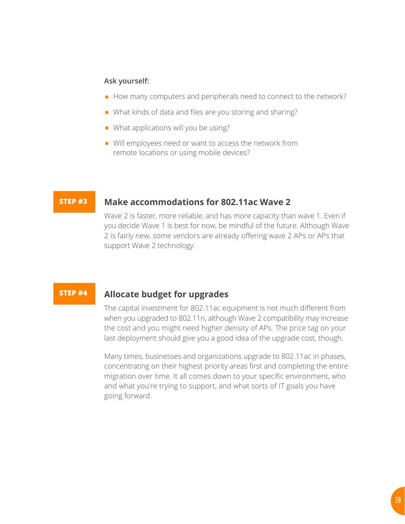#### **Ask yourself:**

- How many computers and peripherals need to connect to the network?
- What kinds of data and files are you storing and sharing?
- What applications will you be using?
- Will employees need or want to access the network from remote locations or using mobile devices?

#### **Make accommodations for 802.11ac Wave 2 STEP #3**

Wave 2 is faster, more reliable, and has more capacity than wave 1. Even if you decide Wave 1 is best for now, be mindful of the future. Although Wave 2 is fairly new, some vendors are already offering wave 2 APs or APs that support Wave 2 technology.

#### **STEP #4**

#### **Allocate budget for upgrades**

The capital investment for 802.11ac equipment is not much different from when you upgraded to 802.11n, although Wave 2 compatibility may increase the cost and you might need higher density of APs. The price tag on your last deployment should give you a good idea of the upgrade cost, though.

Many times, businesses and organizations upgrade to 802.11ac in phases, concentrating on their highest priority areas first and completing the entire migration over time. It all comes down to your specific environment, who and what you're trying to support, and what sorts of IT goals you have going forward.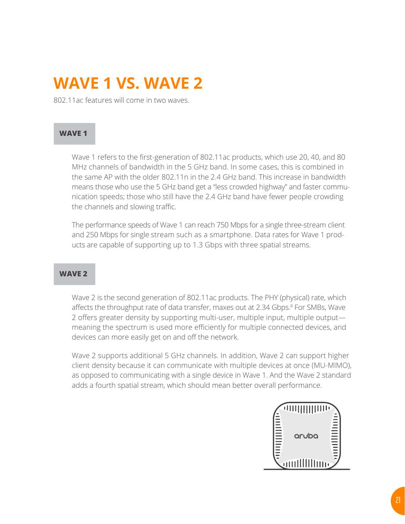### **WAVE 1 VS. WAVE 2**

802.11ac features will come in two waves.

#### **WAVE 1**

Wave 1 refers to the first-generation of 802.11ac products, which use 20, 40, and 80 MHz channels of bandwidth in the 5 GHz band. In some cases, this is combined in the same AP with the older 802.11n in the 2.4 GHz band. This increase in bandwidth means those who use the 5 GHz band get a "less crowded highway" and faster communication speeds; those who still have the 2.4 GHz band have fewer people crowding the channels and slowing traffic.

The performance speeds of Wave 1 can reach 750 Mbps for a single three-stream client and 250 Mbps for single stream such as a smartphone. Data rates for Wave 1 products are capable of supporting up to 1.3 Gbps with three spatial streams.

#### **WAVE 2**

Wave 2 is the second generation of 802.11ac products. The PHY (physical) rate, which affects the throughput rate of data transfer, maxes out at 2.34 Gbps.<sup>8</sup> For SMBs, Wave 2 offers greater density by supporting multi-user, multiple input, multiple output meaning the spectrum is used more efficiently for multiple connected devices, and devices can more easily get on and off the network.

Wave 2 supports additional 5 GHz channels. In addition, Wave 2 can support higher client density because it can communicate with multiple devices at once (MU-MIMO), as opposed to communicating with a single device in Wave 1. And the Wave 2 standard adds a fourth spatial stream, which should mean better overall performance.

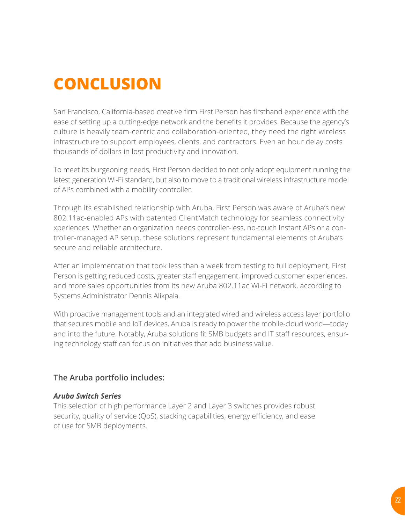## <span id="page-21-0"></span>**CONCLUSION**

San Francisco, California-based creative firm First Person has firsthand experience with the ease of setting up a cutting-edge network and the benefits it provides. Because the agency's culture is heavily team-centric and collaboration-oriented, they need the right wireless infrastructure to support employees, clients, and contractors. Even an hour delay costs thousands of dollars in lost productivity and innovation.

To meet its burgeoning needs, First Person decided to not only adopt equipment running the latest generation Wi-Fi standard, but also to move to a traditional wireless infrastructure model of APs combined with a mobility controller.

Through its established relationship with Aruba, First Person was aware of Aruba's new 802.11ac-enabled APs with patented ClientMatch technology for seamless connectivity xperiences. Whether an organization needs controller-less, no-touch Instant APs or a controller-managed AP setup, these solutions represent fundamental elements of Aruba's secure and reliable architecture.

After an implementation that took less than a week from testing to full deployment, First Person is getting reduced costs, greater staff engagement, improved customer experiences, and more sales opportunities from its new Aruba 802.11ac Wi-Fi network, according to Systems Administrator Dennis Alikpala.

With proactive management tools and an integrated wired and wireless access layer portfolio that secures mobile and IoT devices, Aruba is ready to power the mobile-cloud world—today and into the future. Notably, Aruba solutions fit SMB budgets and IT staff resources, ensuring technology staff can focus on initiatives that add business value.

#### **The Aruba portfolio includes:**

#### *Aruba Switch Series*

This selection of high performance Layer 2 and Layer 3 switches provides robust security, quality of service (QoS), stacking capabilities, energy efficiency, and ease of use for SMB deployments.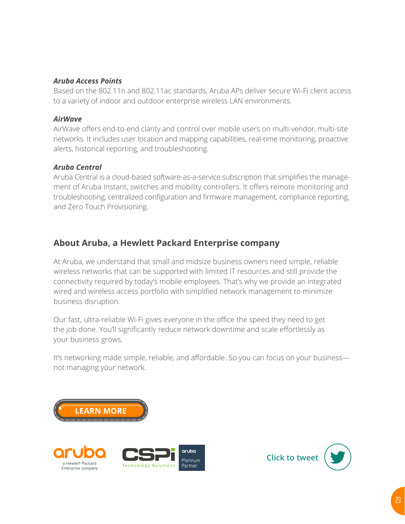#### *Aruba Access Points*

Based on the 802.11n and 802.11ac standards, Aruba APs deliver secure Wi-Fi client access to a variety of indoor and outdoor enterprise wireless LAN environments.

#### *AirWave*

AirWave offers end-to-end clarity and control over mobile users on multi-vendor, multi-site networks. It includes user location and mapping capabilities, real-time monitoring, proactive alerts, historical reporting, and troubleshooting.

#### *Aruba Central*

Aruba Central is a cloud-based software-as-a-service subscription that simplifies the management of Aruba Instant, switches and mobility controllers. It offers remote monitoring and troubleshooting, centralized configuration and firmware management, compliance reporting, and Zero Touch Provisioning.

#### **About Aruba, a Hewlett Packard Enterprise company**

At Aruba, we understand that small and midsize business owners need simple, reliable wireless networks that can be supported with limited IT resources and still provide the connectivity required by today's mobile employees. That's why we provide an integrated wired and wireless access portfolio with simplified network management to minimize business disruption.

Our fast, ultra-reliable Wi-Fi gives everyone in the office the speed they need to get the job done. You'll significantly reduce network downtime and scale effortlessly as your business grows.

It's networking made simple, reliable, and affordable. So you can focus on your business not managing your network.



a Hewlett Packard

Enterprise company